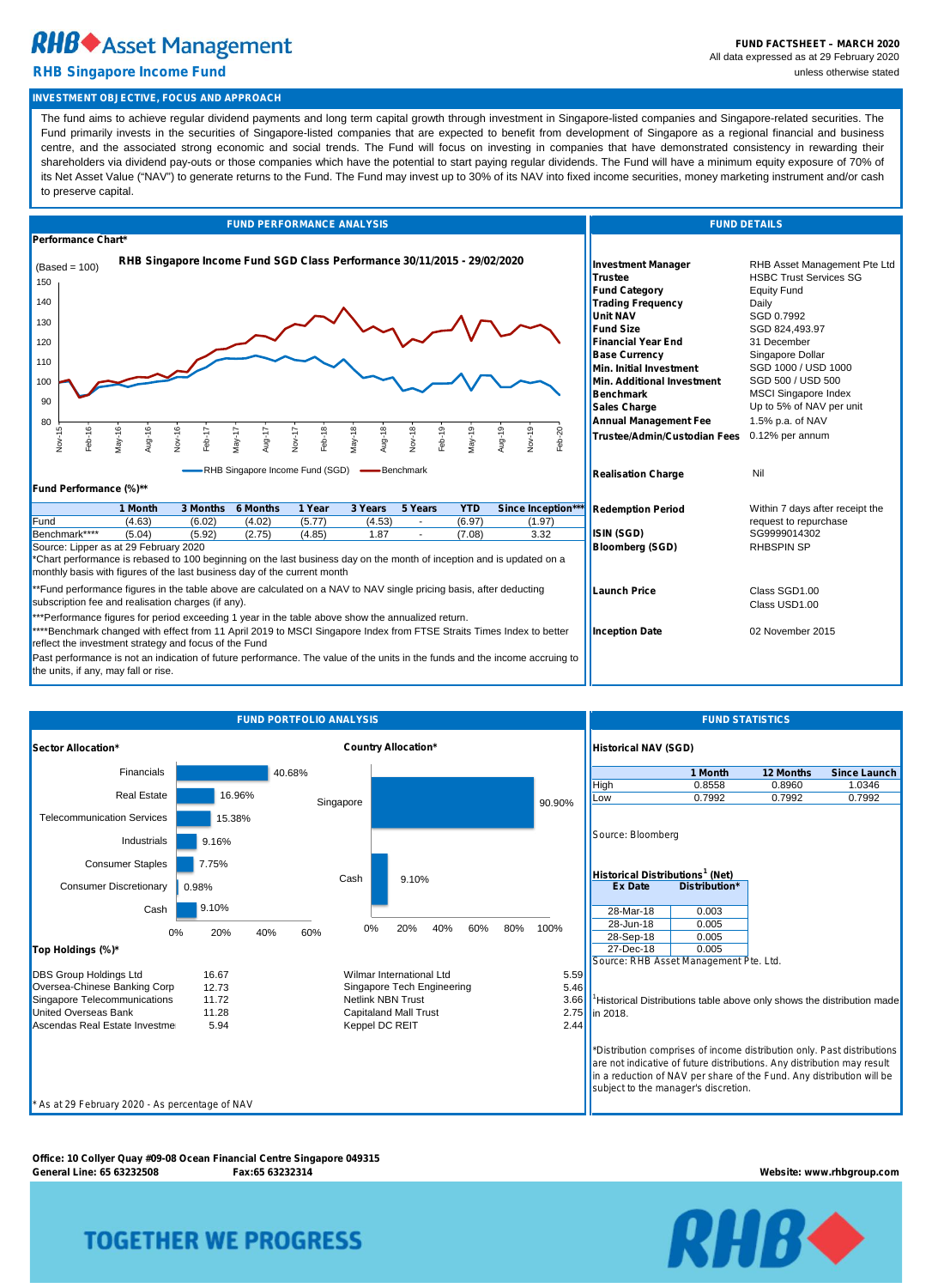# **RHB** Asset Management

#### **RHB Singapore Income Fund** unless otherwise stated

**Office: 10 Collyer Quay #09-08 Ocean Financial Centre Singapore 049315 General Line: 65 63232508 Fax:65 63232314 Website: www.rhbgroup.com**

## **TOGETHER WE PROGRESS**



| <b>FUND PERFORMANCE ANALYSIS</b>                                                                                                                                                                                                                                                                                                                                                                                                                                                                                  | <b>FUND DETAILS</b>                                                                                                                                                                                                                                                                                                                                                                                               |                                                                                                                                                                                                                                                                                                                      |  |  |  |  |  |  |  |  |
|-------------------------------------------------------------------------------------------------------------------------------------------------------------------------------------------------------------------------------------------------------------------------------------------------------------------------------------------------------------------------------------------------------------------------------------------------------------------------------------------------------------------|-------------------------------------------------------------------------------------------------------------------------------------------------------------------------------------------------------------------------------------------------------------------------------------------------------------------------------------------------------------------------------------------------------------------|----------------------------------------------------------------------------------------------------------------------------------------------------------------------------------------------------------------------------------------------------------------------------------------------------------------------|--|--|--|--|--|--|--|--|
| Performance Chart*                                                                                                                                                                                                                                                                                                                                                                                                                                                                                                |                                                                                                                                                                                                                                                                                                                                                                                                                   |                                                                                                                                                                                                                                                                                                                      |  |  |  |  |  |  |  |  |
| RHB Singapore Income Fund SGD Class Performance 30/11/2015 - 29/02/2020<br>$(Based = 100)$<br>150<br>140<br>130<br>120<br>110<br>100<br>90<br>80<br>ъ<br>Feb-16<br>$May-16$<br>Aug-16<br>Nov-16<br>$May-18$<br>Aug-18<br>$Feb-19$<br>$May-19$<br>Aug-19<br>Nov-19<br>$Feb-20$<br>Nov-18<br>Feb-18<br>$Feb-17$<br>May-17<br>Aug-17<br>$Nov-1$<br>Nov-1<br>-RHB Singapore Income Fund (SGD) -Benchmark                                                                                                              | <b>Investment Manager</b><br><b>Trustee</b><br><b>Fund Category</b><br><b>Trading Frequency</b><br><b>Unit NAV</b><br><b>Fund Size</b><br><b>Financial Year End</b><br><b>Base Currency</b><br><b>Min. Initial Investment</b><br><b>Min. Additional Investment</b><br><b>Benchmark</b><br><b>Sales Charge</b><br><b>Annual Management Fee</b><br><b>Trustee/Admin/Custodian Fees</b><br><b>Realisation Charge</b> | RHB Asset Management Pte Ltd<br><b>HSBC Trust Services SG</b><br><b>Equity Fund</b><br>Daily<br>SGD 0.7992<br>SGD 824,493.97<br>31 December<br>Singapore Dollar<br>SGD 1000 / USD 1000<br>SGD 500 / USD 500<br><b>MSCI Singapore Index</b><br>Up to 5% of NAV per unit<br>1.5% p.a. of NAV<br>0.12% per annum<br>Nil |  |  |  |  |  |  |  |  |
| Fund Performance (%)**                                                                                                                                                                                                                                                                                                                                                                                                                                                                                            |                                                                                                                                                                                                                                                                                                                                                                                                                   |                                                                                                                                                                                                                                                                                                                      |  |  |  |  |  |  |  |  |
| 1 Year<br>5 Years<br>3 Months<br><b>6 Months</b><br>3 Years<br><b>YTD</b><br>1 Month<br><b>Since Inception***</b>                                                                                                                                                                                                                                                                                                                                                                                                 | <b>Redemption Period</b>                                                                                                                                                                                                                                                                                                                                                                                          | Within 7 days after receipt the                                                                                                                                                                                                                                                                                      |  |  |  |  |  |  |  |  |
| Fund<br>(5.77)<br>(4.63)<br>(6.02)<br>(4.02)<br>(4.53)<br>(6.97)<br>(1.97)<br>request to repurchase<br>Benchmark****<br>(5.04)<br>(2.75)<br>(4.85)<br>1.87<br>3.32<br>ISIN (SGD)<br>(5.92)<br>(7.08)<br>SG9999014302<br>Source: Lipper as at 29 February 2020<br><b>RHBSPIN SP</b><br><b>Bloomberg (SGD)</b><br>*Chart performance is rebased to 100 beginning on the last business day on the month of inception and is updated on a<br>monthly basis with figures of the last business day of the current month |                                                                                                                                                                                                                                                                                                                                                                                                                   |                                                                                                                                                                                                                                                                                                                      |  |  |  |  |  |  |  |  |
| **Fund performance figures in the table above are calculated on a NAV to NAV single pricing basis, after deducting<br>subscription fee and realisation charges (if any).<br>***Performance figures for period exceeding 1 year in the table above show the annualized return.                                                                                                                                                                                                                                     | <b>Launch Price</b>                                                                                                                                                                                                                                                                                                                                                                                               | Class SGD1.00<br>Class USD1.00                                                                                                                                                                                                                                                                                       |  |  |  |  |  |  |  |  |
| ****Benchmark changed with effect from 11 April 2019 to MSCI Singapore Index from FTSE Straits Times Index to better<br>reflect the investment strategy and focus of the Fund<br>Past performance is not an indication of future performance. The value of the units in the funds and the income accruing to<br>the units, if any, may fall or rise.                                                                                                                                                              | <b>Inception Date</b>                                                                                                                                                                                                                                                                                                                                                                                             | 02 November 2015                                                                                                                                                                                                                                                                                                     |  |  |  |  |  |  |  |  |



#### **INVESTMENT OBJECTIVE, FOCUS AND APPROACH**

|                                                 | 0% | 20%   | 40% | 60% | 0%                           | 20% | 40% | 60% | 80% | 100% | 28-Jun-18<br>0.005<br>28-Sep-18                                                                                                                                                                                                                                     |
|-------------------------------------------------|----|-------|-----|-----|------------------------------|-----|-----|-----|-----|------|---------------------------------------------------------------------------------------------------------------------------------------------------------------------------------------------------------------------------------------------------------------------|
| Top Holdings (%)*                               |    |       |     |     |                              |     |     |     |     |      | 0.005<br>27-Dec-18<br>0.005<br>Source: RHB Asset Management Pte. Ltd.                                                                                                                                                                                               |
| <b>DBS Group Holdings Ltd</b>                   |    | 16.67 |     |     | Wilmar International Ltd     |     |     |     |     |      | 5.59                                                                                                                                                                                                                                                                |
| Oversea-Chinese Banking Corp                    |    | 12.73 |     |     | Singapore Tech Engineering   |     |     |     |     |      | 5.46                                                                                                                                                                                                                                                                |
| Singapore Telecommunications                    |    | 11.72 |     |     | <b>Netlink NBN Trust</b>     |     |     |     |     |      | 3.66<br><sup>1</sup> Historical Distributions table above only shows the distribution made                                                                                                                                                                          |
| <b>United Overseas Bank</b>                     |    | 11.28 |     |     | <b>Capitaland Mall Trust</b> |     |     |     |     |      | 2.75 lin 2018.                                                                                                                                                                                                                                                      |
| Ascendas Real Estate Investme                   |    | 5.94  |     |     | Keppel DC REIT               |     |     |     |     |      | 2.44                                                                                                                                                                                                                                                                |
|                                                 |    |       |     |     |                              |     |     |     |     |      | *Distribution comprises of income distribution only. Past distributions<br>are not indicative of future distributions. Any distribution may result<br>in a reduction of NAV per share of the Fund. Any distribution will be<br>subject to the manager's discretion. |
| * As at 29 February 2020 - As percentage of NAV |    |       |     |     |                              |     |     |     |     |      |                                                                                                                                                                                                                                                                     |

The fund aims to achieve regular dividend payments and long term capital growth through investment in Singapore-listed companies and Singapore-related securities. The Fund primarily invests in the securities of Singapore-listed companies that are expected to benefit from development of Singapore as a regional financial and business centre, and the associated strong economic and social trends. The Fund will focus on investing in companies that have demonstrated consistency in rewarding their shareholders via dividend pay-outs or those companies which have the potential to start paying regular dividends. The Fund will have a minimum equity exposure of 70% of its Net Asset Value ("NAV") to generate returns to the Fund. The Fund may invest up to 30% of its NAV into fixed income securities, money marketing instrument and/or cash to preserve capital.